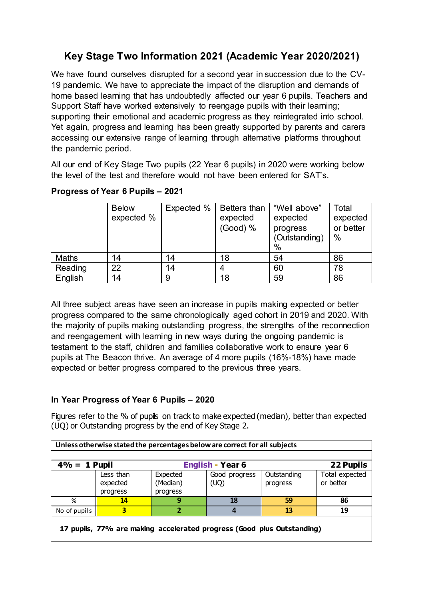## **Key Stage Two Information 2021 (Academic Year 2020/2021)**

We have found ourselves disrupted for a second year in succession due to the CV-19 pandemic. We have to appreciate the impact of the disruption and demands of home based learning that has undoubtedly affected our year 6 pupils. Teachers and Support Staff have worked extensively to reengage pupils with their learning; supporting their emotional and academic progress as they reintegrated into school. Yet again, progress and learning has been greatly supported by parents and carers accessing our extensive range of learning through alternative platforms throughout the pandemic period.

All our end of Key Stage Two pupils (22 Year 6 pupils) in 2020 were working below the level of the test and therefore would not have been entered for SAT's.

|              | <b>Below</b><br>expected % | Expected % | Betters than<br>expected<br>(Good) % | "Well above"<br>expected<br>progress<br>(Outstanding)<br>$\%$ | Total<br>expected<br>or better<br>$\%$ |
|--------------|----------------------------|------------|--------------------------------------|---------------------------------------------------------------|----------------------------------------|
| <b>Maths</b> | 14                         | 14         | 18                                   | 54                                                            | 86                                     |
| Reading      | 22                         | 14         |                                      | 60                                                            | 78                                     |
| English      | 14                         |            | 18                                   | 59                                                            | 86                                     |

## **Progress of Year 6 Pupils – 2021**

All three subject areas have seen an increase in pupils making expected or better progress compared to the same chronologically aged cohort in 2019 and 2020. With the majority of pupils making outstanding progress, the strengths of the reconnection and reengagement with learning in new ways during the ongoing pandemic is testament to the staff, children and families collaborative work to ensure year 6 pupils at The Beacon thrive. An average of 4 more pupils (16%-18%) have made expected or better progress compared to the previous three years.

## **In Year Progress of Year 6 Pupils – 2020**

Figures refer to the % of pupils on track to make expected (median), better than expected (UQ) or Outstanding progress by the end of Key Stage 2.

| Unless otherwise stated the percentages below are correct for all subjects |                                   |                                  |                       |                         |                             |  |  |  |
|----------------------------------------------------------------------------|-----------------------------------|----------------------------------|-----------------------|-------------------------|-----------------------------|--|--|--|
| $4\% = 1$ Pupil                                                            |                                   | <b>English - Year 6</b>          | 22 Pupils             |                         |                             |  |  |  |
|                                                                            | Less than<br>expected<br>progress | Expected<br>(Median)<br>progress | Good progress<br>(UQ) | Outstanding<br>progress | Total expected<br>or better |  |  |  |
| %                                                                          | 14                                | 9                                | 18                    | 59                      | 86                          |  |  |  |
| No of pupils                                                               | 3                                 | 2                                | 4                     | 13                      | 19                          |  |  |  |
| 17 pupils, 77% are making accelerated progress (Good plus Outstanding)     |                                   |                                  |                       |                         |                             |  |  |  |